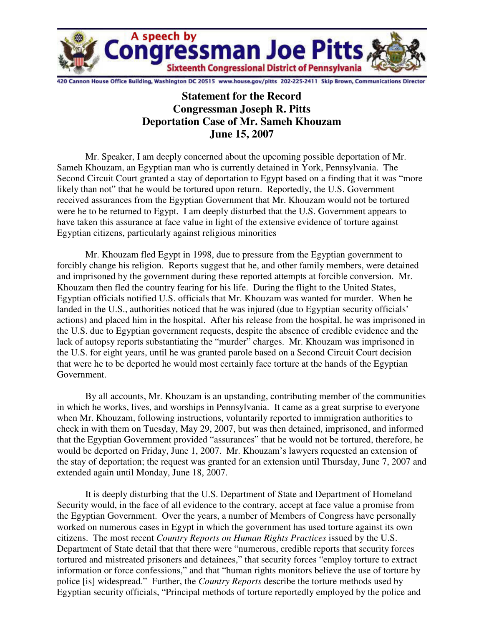

20 Cannon House Office Building, Washington DC 20515 www.house.gov/pitts 202-225-2411 Skip Brown, Communications Director

## **Statement for the Record Congressman Joseph R. Pitts Deportation Case of Mr. Sameh Khouzam June 15, 2007**

Mr. Speaker, I am deeply concerned about the upcoming possible deportation of Mr. Sameh Khouzam, an Egyptian man who is currently detained in York, Pennsylvania. The Second Circuit Court granted a stay of deportation to Egypt based on a finding that it was "more likely than not" that he would be tortured upon return. Reportedly, the U.S. Government received assurances from the Egyptian Government that Mr. Khouzam would not be tortured were he to be returned to Egypt. I am deeply disturbed that the U.S. Government appears to have taken this assurance at face value in light of the extensive evidence of torture against Egyptian citizens, particularly against religious minorities

Mr. Khouzam fled Egypt in 1998, due to pressure from the Egyptian government to forcibly change his religion. Reports suggest that he, and other family members, were detained and imprisoned by the government during these reported attempts at forcible conversion. Mr. Khouzam then fled the country fearing for his life. During the flight to the United States, Egyptian officials notified U.S. officials that Mr. Khouzam was wanted for murder. When he landed in the U.S., authorities noticed that he was injured (due to Egyptian security officials' actions) and placed him in the hospital. After his release from the hospital, he was imprisoned in the U.S. due to Egyptian government requests, despite the absence of credible evidence and the lack of autopsy reports substantiating the "murder" charges. Mr. Khouzam was imprisoned in the U.S. for eight years, until he was granted parole based on a Second Circuit Court decision that were he to be deported he would most certainly face torture at the hands of the Egyptian Government.

By all accounts, Mr. Khouzam is an upstanding, contributing member of the communities in which he works, lives, and worships in Pennsylvania. It came as a great surprise to everyone when Mr. Khouzam, following instructions, voluntarily reported to immigration authorities to check in with them on Tuesday, May 29, 2007, but was then detained, imprisoned, and informed that the Egyptian Government provided "assurances" that he would not be tortured, therefore, he would be deported on Friday, June 1, 2007. Mr. Khouzam's lawyers requested an extension of the stay of deportation; the request was granted for an extension until Thursday, June 7, 2007 and extended again until Monday, June 18, 2007.

It is deeply disturbing that the U.S. Department of State and Department of Homeland Security would, in the face of all evidence to the contrary, accept at face value a promise from the Egyptian Government. Over the years, a number of Members of Congress have personally worked on numerous cases in Egypt in which the government has used torture against its own citizens. The most recent *Country Reports on Human Rights Practices* issued by the U.S. Department of State detail that that there were "numerous, credible reports that security forces tortured and mistreated prisoners and detainees," that security forces "employ torture to extract information or force confessions," and that "human rights monitors believe the use of torture by police [is] widespread." Further, the *Country Reports* describe the torture methods used by Egyptian security officials, "Principal methods of torture reportedly employed by the police and